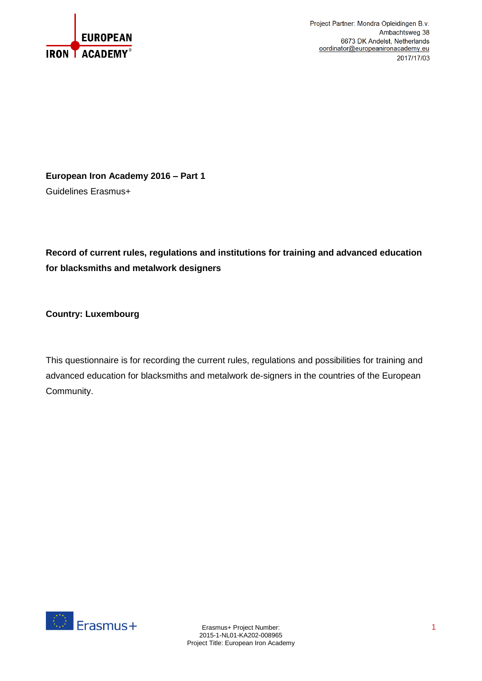

Project Partner: Mondra Opleidingen B.v. Ambachtsweg 38 6673 DK Andelst, Netherlands oordinator@europeanironacademy.eu 2017/17/03

**European Iron Academy 2016 – Part 1** Guidelines Erasmus+

**Record of current rules, regulations and institutions for training and advanced education for blacksmiths and metalwork designers**

**Country: Luxembourg**

This questionnaire is for recording the current rules, regulations and possibilities for training and advanced education for blacksmiths and metalwork de-signers in the countries of the European Community.

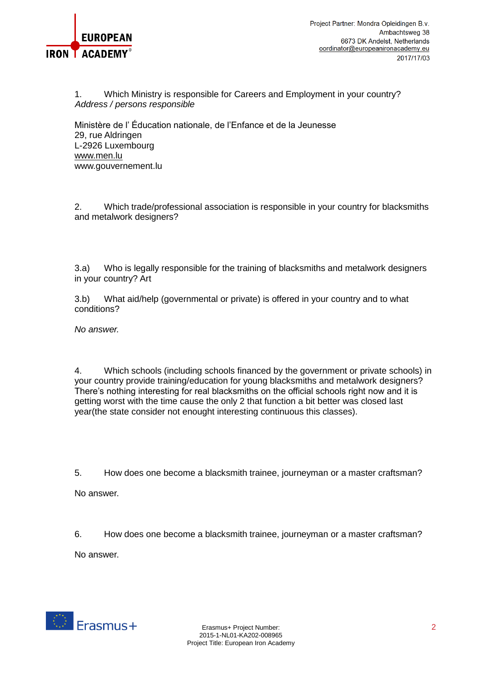

1. Which Ministry is responsible for Careers and Employment in your country? *Address / persons responsible* 

Ministère de l' Éducation nationale, de l'Enfance et de la Jeunesse 29, rue Aldringen L-2926 Luxembourg [www.men.lu](http://www.men.lu/) www.gouvernement.lu

2. Which trade/professional association is responsible in your country for blacksmiths and metalwork designers?

3.a) Who is legally responsible for the training of blacksmiths and metalwork designers in your country? Art

3.b) What aid/help (governmental or private) is offered in your country and to what conditions?

*No answer.*

4. Which schools (including schools financed by the government or private schools) in your country provide training/education for young blacksmiths and metalwork designers? There's nothing interesting for real blacksmiths on the official schools right now and it is getting worst with the time cause the only 2 that function a bit better was closed last year(the state consider not enought interesting continuous this classes).

5. How does one become a blacksmith trainee, journeyman or a master craftsman? No answer.

6. How does one become a blacksmith trainee, journeyman or a master craftsman?

No answer.

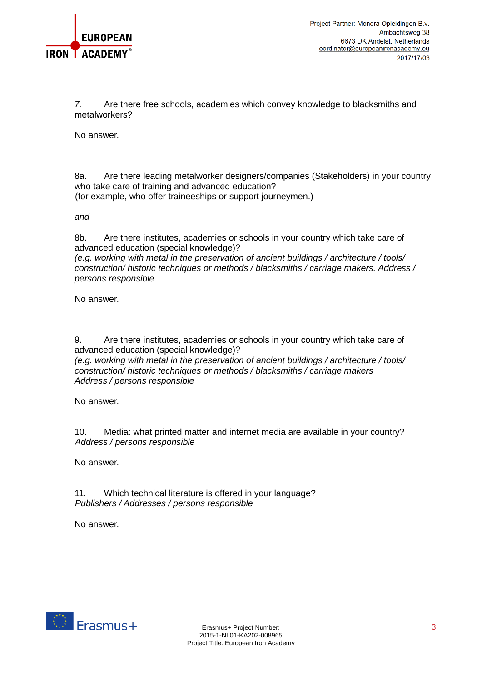

*7.* Are there free schools, academies which convey knowledge to blacksmiths and metalworkers?

No answer.

8a. Are there leading metalworker designers/companies (Stakeholders) in your country who take care of training and advanced education? (for example, who offer traineeships or support journeymen.)

*and*

8b. Are there institutes, academies or schools in your country which take care of advanced education (special knowledge)?

*(e.g. working with metal in the preservation of ancient buildings / architecture / tools/ construction/ historic techniques or methods / blacksmiths / carriage makers. Address / persons responsible*

No answer.

9. Are there institutes, academies or schools in your country which take care of advanced education (special knowledge)?

*(e.g. working with metal in the preservation of ancient buildings / architecture / tools/ construction/ historic techniques or methods / blacksmiths / carriage makers Address / persons responsible*

No answer.

10. Media: what printed matter and internet media are available in your country? *Address / persons responsible*

No answer.

11. Which technical literature is offered in your language? *Publishers / Addresses / persons responsible*

No answer.